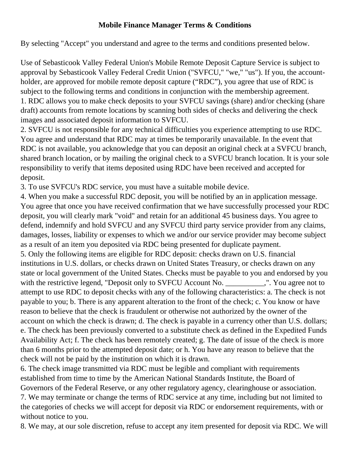## **Mobile Finance Manager Terms & Conditions**

By selecting "Accept" you understand and agree to the terms and conditions presented below.

Use of Sebasticook Valley Federal Union's Mobile Remote Deposit Capture Service is subject to approval by Sebasticook Valley Federal Credit Union ("SVFCU," "we," "us"). If you, the accountholder, are approved for mobile remote deposit capture ("RDC"), you agree that use of RDC is subject to the following terms and conditions in conjunction with the membership agreement. 1. RDC allows you to make check deposits to your SVFCU savings (share) and/or checking (share draft) accounts from remote locations by scanning both sides of checks and delivering the check images and associated deposit information to SVFCU.

2. SVFCU is not responsible for any technical difficulties you experience attempting to use RDC. You agree and understand that RDC may at times be temporarily unavailable. In the event that RDC is not available, you acknowledge that you can deposit an original check at a SVFCU branch, shared branch location, or by mailing the original check to a SVFCU branch location. It is your sole responsibility to verify that items deposited using RDC have been received and accepted for deposit.

3. To use SVFCU's RDC service, you must have a suitable mobile device.

4. When you make a successful RDC deposit, you will be notified by an in application message. You agree that once you have received confirmation that we have successfully processed your RDC deposit, you will clearly mark "void" and retain for an additional 45 business days. You agree to defend, indemnify and hold SVFCU and any SVFCU third party service provider from any claims, damages, losses, liability or expenses to which we and/or our service provider may become subject as a result of an item you deposited via RDC being presented for duplicate payment. 5. Only the following items are eligible for RDC deposit: checks drawn on U.S. financial institutions in U.S. dollars, or checks drawn on United States Treasury, or checks drawn on any state or local government of the United States. Checks must be payable to you and endorsed by you with the restrictive legend, "Deposit only to SVFCU Account No. The N. You agree not to attempt to use RDC to deposit checks with any of the following characteristics: a. The check is not payable to you; b. There is any apparent alteration to the front of the check; c. You know or have reason to believe that the check is fraudulent or otherwise not authorized by the owner of the account on which the check is drawn; d. The check is payable in a currency other than U.S. dollars; e. The check has been previously converted to a substitute check as defined in the Expedited Funds Availability Act; f. The check has been remotely created; g. The date of issue of the check is more than 6 months prior to the attempted deposit date; or h. You have any reason to believe that the check will not be paid by the institution on which it is drawn.

6. The check image transmitted via RDC must be legible and compliant with requirements established from time to time by the American National Standards Institute, the Board of Governors of the Federal Reserve, or any other regulatory agency, clearinghouse or association. 7. We may terminate or change the terms of RDC service at any time, including but not limited to the categories of checks we will accept for deposit via RDC or endorsement requirements, with or without notice to you.

8. We may, at our sole discretion, refuse to accept any item presented for deposit via RDC. We will